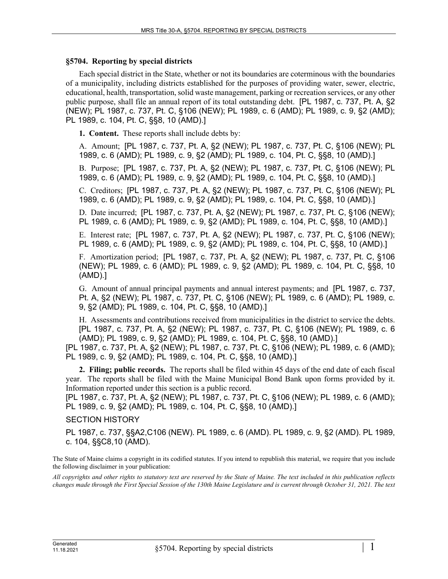## **§5704. Reporting by special districts**

Each special district in the State, whether or not its boundaries are coterminous with the boundaries of a municipality, including districts established for the purposes of providing water, sewer, electric, educational, health, transportation, solid waste management, parking or recreation services, or any other public purpose, shall file an annual report of its total outstanding debt. [PL 1987, c. 737, Pt. A, §2 (NEW); PL 1987, c. 737, Pt. C, §106 (NEW); PL 1989, c. 6 (AMD); PL 1989, c. 9, §2 (AMD); PL 1989, c. 104, Pt. C, §§8, 10 (AMD).]

**1. Content.** These reports shall include debts by:

A. Amount; [PL 1987, c. 737, Pt. A, §2 (NEW); PL 1987, c. 737, Pt. C, §106 (NEW); PL 1989, c. 6 (AMD); PL 1989, c. 9, §2 (AMD); PL 1989, c. 104, Pt. C, §§8, 10 (AMD).]

B. Purpose; [PL 1987, c. 737, Pt. A, §2 (NEW); PL 1987, c. 737, Pt. C, §106 (NEW); PL 1989, c. 6 (AMD); PL 1989, c. 9, §2 (AMD); PL 1989, c. 104, Pt. C, §§8, 10 (AMD).]

C. Creditors; [PL 1987, c. 737, Pt. A, §2 (NEW); PL 1987, c. 737, Pt. C, §106 (NEW); PL 1989, c. 6 (AMD); PL 1989, c. 9, §2 (AMD); PL 1989, c. 104, Pt. C, §§8, 10 (AMD).]

D. Date incurred; [PL 1987, c. 737, Pt. A, §2 (NEW); PL 1987, c. 737, Pt. C, §106 (NEW); PL 1989, c. 6 (AMD); PL 1989, c. 9, §2 (AMD); PL 1989, c. 104, Pt. C, §§8, 10 (AMD).]

E. Interest rate; [PL 1987, c. 737, Pt. A, §2 (NEW); PL 1987, c. 737, Pt. C, §106 (NEW); PL 1989, c. 6 (AMD); PL 1989, c. 9, §2 (AMD); PL 1989, c. 104, Pt. C, §§8, 10 (AMD).]

F. Amortization period; [PL 1987, c. 737, Pt. A, §2 (NEW); PL 1987, c. 737, Pt. C, §106 (NEW); PL 1989, c. 6 (AMD); PL 1989, c. 9, §2 (AMD); PL 1989, c. 104, Pt. C, §§8, 10 (AMD).]

G. Amount of annual principal payments and annual interest payments; and [PL 1987, c. 737, Pt. A, §2 (NEW); PL 1987, c. 737, Pt. C, §106 (NEW); PL 1989, c. 6 (AMD); PL 1989, c. 9, §2 (AMD); PL 1989, c. 104, Pt. C, §§8, 10 (AMD).]

H. Assessments and contributions received from municipalities in the district to service the debts. [PL 1987, c. 737, Pt. A, §2 (NEW); PL 1987, c. 737, Pt. C, §106 (NEW); PL 1989, c. 6 (AMD); PL 1989, c. 9, §2 (AMD); PL 1989, c. 104, Pt. C, §§8, 10 (AMD).]

[PL 1987, c. 737, Pt. A, §2 (NEW); PL 1987, c. 737, Pt. C, §106 (NEW); PL 1989, c. 6 (AMD); PL 1989, c. 9, §2 (AMD); PL 1989, c. 104, Pt. C, §§8, 10 (AMD).]

**2. Filing; public records.** The reports shall be filed within 45 days of the end date of each fiscal year. The reports shall be filed with the Maine Municipal Bond Bank upon forms provided by it. Information reported under this section is a public record.

[PL 1987, c. 737, Pt. A, §2 (NEW); PL 1987, c. 737, Pt. C, §106 (NEW); PL 1989, c. 6 (AMD); PL 1989, c. 9, §2 (AMD); PL 1989, c. 104, Pt. C, §§8, 10 (AMD).]

## SECTION HISTORY

PL 1987, c. 737, §§A2,C106 (NEW). PL 1989, c. 6 (AMD). PL 1989, c. 9, §2 (AMD). PL 1989, c. 104, §§C8,10 (AMD).

The State of Maine claims a copyright in its codified statutes. If you intend to republish this material, we require that you include the following disclaimer in your publication:

*All copyrights and other rights to statutory text are reserved by the State of Maine. The text included in this publication reflects changes made through the First Special Session of the 130th Maine Legislature and is current through October 31, 2021. The text*